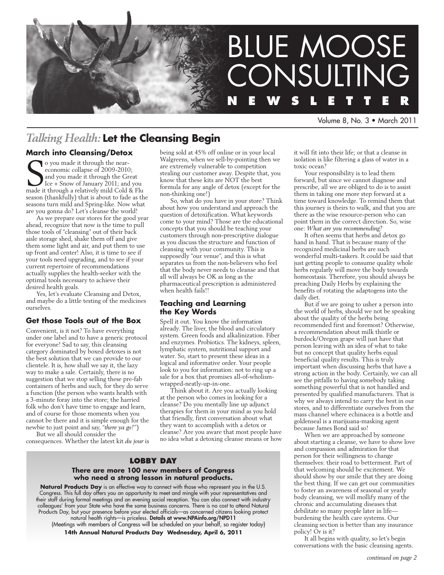

Volume 8, No. 3 • March 2011

## *Talking Health:* **Let the Cleansing Begin**

### **March into Cleansing/Detox**

So you made it through the near-<br>
economic collapse of 2009-2010;<br>
and you made it through the Great<br>
Ice + Snow of January 2011; and you<br>
made it through a relatively mild Cold & Flu o you made it through the neareconomic collapse of 2009-2010; and you made it through the Great Ice + Snow of January 2011; and you season (thankfully) that is about to fade as the seasons turn mild and Spring-like. Now what are you gonna do? Let's cleanse the world!

As we prepare our stores for the good year ahead, recognize that now is the time to pull those tools of "cleansing" out of their back aisle storage shed, shake them off and give them some light and air, and put them to use up front and center! Also, it is time to see if your tools need upgrading, and to see if your current repertoire of recommendations actually supplies the health-seeker with the optimal tools necessary to achieve their desired health goals.

Yes, let's evaluate Cleansing and Detox, and maybe do a little testing of the medicines ourselves.

### **Get those Tools out of the Box**

Convenient, is it not? To have everything under one label and to have a generic protocol for everyone! Sad to say, this cleansing category dominated by boxed detoxes is not the best solution that we can provide to our clientele. It is, how shall we say it, the lazy way to make a sale. Certainly, there is no suggestion that we stop selling these pre-fab containers of herbs and such, for they do serve a function (the person who wants health with a 3-minute foray into the store; the harried folk who don't have time to engage and learn, and of course for those moments when you cannot be there and it is simple enough for the newbie to just point and say, "*there ya go!*")

But we all should consider the consequences. Whether the latest kit *du jour* is being sold at 45% off online or in your local Walgreens, when we sell-by-pointing then we are extremely vulnerable to competition stealing our customer away. Despite that, you know that these kits are NOT the best formula for any angle of detox (except for the non-thinking one!)

So, what do you have in your store? Think about how you understand and approach the question of detoxification. What keywords come to your mind? Those are the educational concepts that you should be teaching your customers through non-prescriptive dialogue as you discuss the structure and function of cleansing with your community. This is supposedly "our venue", and this is what separates us from the non-believers who feel that the body never needs to cleanse and that all will always be OK as long as the pharmaceutical prescription is administered when health fails!!

### **Teaching and Learning the Key Words**

Spell it out. You know the information already. The liver, the blood and circulatory system. Green foods and alkalinization. Fiber and enzymes. Probiotics. The kidneys, spleen, lymphatic system, nutritional support and water. So, start to present these ideas in a logical and informative order. Your people look to you for information: not to ring up a sale for a box that promises all-of-wholismwrapped-neatly-up-in-one.

Think about it. Are you actually looking at the person who comes in looking for a cleanse? Do you mentally line up adjunct therapies for them in your mind as you hold that friendly, first conversation about what they want to accomplish with a detox or cleanse? Are you aware that most people have no idea what a detoxing cleanse means or how

### **Lobby Day**

### **There are more 100 new members of Congress who need a strong lesson in natural products.**

**Natural Products Day** is an effective way to connect with those who represent you in the U.S. Congress. This full day offers you an opportunity to meet and mingle with your representatives and their staff during formal meetings and an evening social reception. You can also connect with industry colleagues' from your State who have the same business concerns. There is no cost to attend Natural Products Day, but your presence before your elected officials—as concerned citizens looking protect natural health rights—is priceless. Details at www.NPAinfo.org/NPD11

(Meetings with members of Congress will be scheduled on your behalf, so register today}

**14th Annual Natural Products Day Wednesday, April 6, 2011**

it will fit into their life; or that a cleanse in isolation is like filtering a glass of water in a toxic ocean?

Your responsibility is to lead them forward, but since we cannot diagnose and prescribe, all we are obliged to do is to assist them in taking one more step forward at a time toward knowledge. To remind them that this journey is theirs to walk, and that you are there as the wise resource-person who can point them in the correct direction. So, wise one: *What are you recommending?*

It often seems that herbs and detox go hand in hand. That is because many of the recognized medicinal herbs are such wonderful multi-taskers. It could be said that just getting people to consume quality whole herbs regularly will move the body towards homeostasis. Therefore, you should always be preaching Daily Herbs by explaining the benefits of rotating the adaptogens into the daily diet.

But if we are going to usher a person into the world of herbs, should we not be speaking about the quality of the herbs being recommended first and foremost? Otherwise, a recommendation about milk thistle or burdock/Oregon grape will just have that person leaving with an idea of what to take but no concept that quality herbs equal beneficial quality results. This is truly important when discussing herbs that have a strong action in the body. Certainly, we can all see the pitfalls to having somebody taking something powerful that is not handled and presented by qualified manufacturers. That is why we always intend to carry the best in our stores, and to differentiate ourselves from the mass channel where echinacea is a bottle and goldenseal is a marijuana-masking agent because James Bond said so!

When we are approached by someone about starting a cleanse, we have to show love and compassion and admiration for that person for their willingness to change themselves: their road to betterment. Part of that welcoming should be excitement. We should show by our smile that they are doing the best thing. If we can get our communities to foster an awareness of seasonal or yearly body cleansing, we will mollify many of the chronic and accumulating diseases that debilitate so many people later in life burdening the health care systems. Our cleansing section is better than any insurance policy! Or is it?

It all begins with quality, so let's begin conversations with the basic cleansing agents.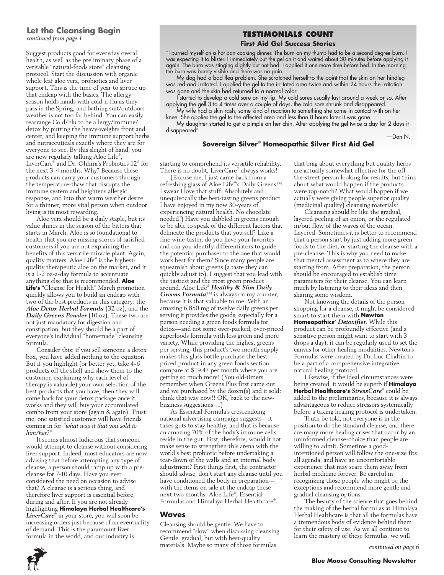### **Let the Cleansing Begin** *continued from page 1*

Suggest products good for everyday overall health, as well as the preliminary phase of a veritable "natural-foods store" cleansing protocol. Start the discussion with organic whole leaf aloe vera, probiotics and liver support. This is the time of year to spruce up that endcap with the basics. The allergy season holds hands with cold-n-flu as they pass in the Spring, and bathing suit/outdoors weather is not too far behind. You can easily rearrange Cold/Flu to be allergy/immune/ detox by putting the heavy-weights front and center, and keeping the immune support herbs and nutraceuticals exactly where they are for everyone to see. By this sleight of hand, you are now regularly talking Aloe Life® , LiverCare® and Dr. Ohhira's Probiotics 12® for the next 3-4 months. Why? Because these products can carry your customers through the temperature-thaw that disrupts the immune system and heightens allergic response, and into that warm weather desire for a thinner, more vital person when outdoor living is its most rewarding.

Aloe vera should be a daily staple, but its value shines in the season of the bitters that starts in March. Aloe is so foundational to health that you are missing scores of satisfied customers if you are not explaining the benefits of this versatile miracle plant. Again, quality matters. Aloe Life® is the highestquality therapeutic aloe on the market, and it is a 1-2 oz-a-day formula to accentuate anything else that is recommended. **Aloe Life's** "Cleanse for Health" March promotion quickly allows you to build an endcap with two of the best products in this category: the *Aloe Detox Herbal Formula* (32 oz), and the *Daily Greens Powder* (10 oz). These two are not just mandatory for digestion and constipation, but they should be a part of everyone's individual "homemade" cleansing formula.

Consider this: if you sell someone a detox box, you have added nothing to the equation. But if you highlight (or better yet, take 4-6 products off the shelf and show them to the customer, explaining why each level of therapy is valuable) your own selection of the best products that you have, then they will come back for your detox package once it works and they will buy your accumulated combo from your store (again & again). Trust me, one satisfied customer will have friends coming in for *"what was it that you sold to him/her?* "

It seems almost ludicrous that someone would attempt to cleanse without considering liver support. Indeed, most educators are now advising that before attempting any type of cleanse, a person should ramp up with a precleanse for 7-10 days. Have you ever considered the need on occasion to advise that? A cleanse is a serious thing, and therefore liver support is essential before, during and after. If you are not already highlighting **Himalaya Herbal Healthcare's**  *LiverCare*® in your store, you will soon be increasing orders just because of an eventuality of demand. This is the paramount liver formula in the world, and our industry is

### **Testimonials Count**

### **First Aid Gel Success Stories**

"I burned myself on a hot pan cooking dinner. The burn on my thumb had to be a second degree burn. I was expecting it to blister. I immediately put the gel on it and waited about 30 minutes before applying it again. The burn was stinging slightly but not bad. I applied it one more time before bed. In the morning the burn was barely visible and there was no pain.

My dog had  $\alpha$  bad flea problem. She scratched herself to the point that the skin on her hindleg was red and irritated. I applied the gel to the irritated area twice and within 24 hours the irritation was gone and the skin had returned to a normal color.

I started to develop a cold sore on my lip. My cold sores usually last around a week or so. After applying the gell 3 to 4 times over a couple of days, the cold sore shrunk and disappeared.

My wife had a skin rash, some kind of reaction to something she came in contact with on her knee. She applies the gel to the affected area and less than 8 hours later it was gone.

My daughter started to get a pimple on her chin. After applying the gel twice a day for 2 days it disappeared<sup>"</sup>

**Sovereign Silver® Homeopathic Silver First Aid Gel**

—Don N.

#### starting to comprehend its versatile reliability. There is no doubt, LiverCare® always works!

(Excuse me, I just came back from a refreshing glass of Aloe Life® 's Daily Greens™. I swear I love that stuff. Absolutely and unequivocally the best-tasting greens product I have enjoyed in my now 30-years of experiencing natural health. No chocolate needed!) Have you dabbled in greens enough to be able to speak of the different factors that delineate the products that you sell? Like a fine wine-taster, do you have your favorites and can you identify differentiators to guide the potential purchaser to the one that would work best for them? Since many people are squeamish about greens (a taste they can quickly adjust to), I suggest that you lead with the tastiest and the most green product around. Aloe Life® *Healthy & Slim Daily Greens Formula*™ is always on my counter, because it is that valuable to me. With an amazing 6,850 mg of twelve daily greens per serving it provides the goods, especially for a person needing a green foods formula for detox—and not some over-packed, over-priced superfoods formula with less green and more variety. While providing the highest greens per serving, this product's two month supply makes this glass bottle purchase the bestpriced product in any green foods section: compare at \$19.47 per month where you are getting so much more! (You old-timers remember when Greens Plus first came out and we purchased by the dozen(s) and it sold: think that way now!! OK, back to the newbusiness suggestions….)

As Essential Formula's crescendoing national advertising campaign suggests—it takes guts to stay healthy, and that is because an amazing 70% of the body's immune cells reside in the gut. First, therefore, would it not make sense to strengthen this arena with the world's best probiotic before undertaking a tear-down of the walls and an internal body adjustment? First things first, the contractor should advise, don't start any cleanse until you have conditioned the body in preparation with the items on sale at the endcap these next two months: Aloe Life® , Essential Formulas and Himalaya Herbal Healthcare® .

### **Waves**

Cleansing should be gentle. We have to recommend "slow" when discussing cleansing. Gentle, gradual, but with best-quality materials. Maybe so many of those formulas

that brag about everything but quality herbs are actually somewhat effective for the offthe-street person looking for results, but think about what would happen if the products were top-notch? What would happen if we actually were giving people superior quality (medicinal quality) cleansing materials?

Cleansing should be like the gradual, layered peeling of an onion, or the regulated in/out flow of the waves of the ocean. Layered. Sometimes it is better to recommend that a person start by just adding more green foods to the diet, or starting the cleanse with a pre-cleanse. This is why you need to make that mental assessment as to where they are starting from. After preparation, the person should be encouraged to establish time parameters for their cleanse. You can learn much by listening to their ideas and then sharing some wisdom.

Not knowing the details of the person shopping for a cleanse, it might be considered smart to start them with **Newton Homeopathics'** *Detoxifier*. While this product can be profoundly effective (and a sensitive person might want to start with 3 drops a day), it can be regularly used to set the canvas for other healing modalities. Newton's Formulas were created by Dr. Luc Chaltin to be a part of a comprehensive integrative natural healing protocol.

Likewise, if the ideal circumstances were being created, it would be superb if **Himalaya Herbal Healthcare's** *StressCare*® could be added to the preliminaries, because it is always advantageous to reduce stressors systemically before a taxing healing protocol is undertaken.

Truth be told, not everyone is in the position to do the standard cleanse, and there are many more healing crises that occur by an uninformed cleanse-choice than people are willing to admit. Sometime a goodintentioned person will follow the one-size fits all agenda, and have an uncomfortable experience that may scare them away from herbal medicine forever. Be careful in recognizing those people who might be the exceptions and recommend more gentle and gradual cleansing options.

The beauty of the science that goes behind the making of the herbal formulas at Himalaya Herbal Healthcare is that all the formulas have a tremendous body of evidence behind them for their safety of use. As we all continue to learn the mastery of these formulas, we will



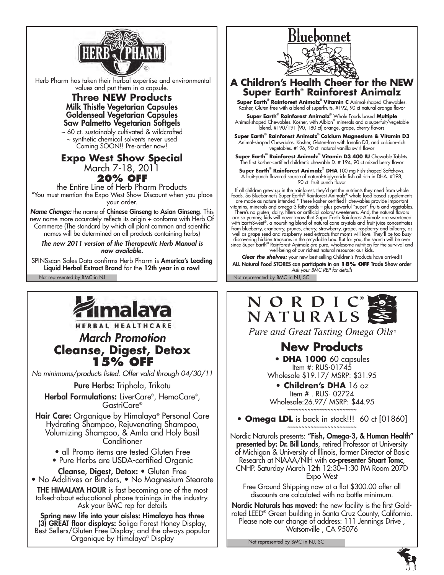

 Herb Pharm has taken their herbal expertise and environmental values and put them in a capsule.

### **Three NEW Products** Milk Thistle Vegetarian Capsules Goldenseal Vegetarian Capsules Saw Palmetto Vegetarian Softgels

~ 60 ct. sustainably cultivated & wildcrafted ~ synthetic chemical solvents never used Coming SOON!! Pre-order now!

# **Expo West Show Special**

March 7-18, 2011

### **20% OFF**

the Entire Line of Herb Pharm Products \*You must mention the Expo West Show Discount when you place your order.

*Name Change:* the name of Chinese Ginseng to Asian Ginseng. This new name more accurately reflects its origin + conforms with Herb Of Commerce (The standard by which all plant common and scientific names will be determined on all products containing herbs)

*The new 2011 version of the Therapeutic Herb Manual is now available.* 

Not represented by BMC in NJ Not represented by BMC in NJ, SC SPINSscan Sales Data confirms Herb Pharm is America's Leading Liquid Herbal Extract Brand for the 12th year in a row!



*No minimums/products listed. Offer valid through 04/30/11*

Pure Herbs: Triphala, Trikatu

Herbal Formulations: LiverCare® , HemoCare® , GastriCare®

Hair Care: Organique by Himalaya® Personal Care Hydrating Shampoo, Rejuvenating Shampoo, Volumizing Shampoo, & Amla and Holy Basil Conditioner

- all Promo items are tested Gluten Free
- Pure Herbs are USDA-certified Organic

Cleanse, Digest, Detox: • Gluten Free • No Additives or Binders, • No Magnesium Stearate

THE HIMALAYA HOUR is fast becoming one of the most talked-about educational phone trainings in the industry. Ask your BMC rep for details

Spring new life into your aisles: Himalaya has three (3) GREAT floor displays: Soliga Forest Honey Display, Best Sellers/Gluten Free Display; and the always popular Organique by Himalaya® Display



**A Children's Health Cheer for the NEW Super Earth® Rainforest Animalz**

**Super Earth® Rainforest Animalz® Vitamin C** Animal-shaped Chewables. Kosher, Gluten-free with a blend of superfruits. #192, 90 ct natural orange flavor

**Super Earth® Rainforest Animalz®** Whole Foods based **Multiple** Animal-shaped Chewables. Kosher, with Albion**®** minerals and a superfuit/vegetable blend. #190/191 [90, 180 ct] orange, grape, cherry flavors

**Super Earth® Rainforest Animalz® Calcium Magnesium & Vitamin D3**  Animal-shaped Chewables. Kosher, Gluten-free with lanolin D3, and calcium-rich vegetables. #196, 90 ct natural vanilla swirl flavor

**Super Earth® Rainforest Animalz® Vitamin D3 400 IU** Chewable Tablets. The first kosher-certified children's chewable D. # 194, 90 ct mixed berry flavor

**Super Earth® Rainforest Animalz® DHA** 100 mg Fish-shaped Softchews. A fruit-punch flavored source of natural-triglyceride fish oil rich in DHA. #198, 90 ct fruit punch flavor

If all children grew up in the rainforest, they'd get the nutrients they need from whole<br>foods. So Bluebonnet's Super Earth® Rainforest Animalz® whole food based supplements<br>are made as nature intended.\* These kosher certi are so yummy, kids will never know that Super Earth Rainforest Animalz are sweetened<br>with EarthSweet®, a nourshing blend of natural cane crystals and fruit juice concentrates<br>from blueberry, cranberry, prunes, cherry, stra since Super Earth**®** Rainforest Animalz are pure, wholesome nutrition for the survival and well-being of our richest natural resource: our kids.

*Clear the shelves:* your new best-selling Children's Products have arrived!! ALL Natural Food STORES can participate in an **18% off** Trade Show order *Ask your BMC REP for details*



Pure and Great Tasting Omega Oils®

# **New Products**

**• DHA 1000** 60 capsules Item #: RUS-01745 Wholesale \$19.17/ MSRP: \$31.95

**• Children's DHA** 16 oz Item # . RUS- 02724 Wholesale:26.97/ MSRP: \$44.95 **~~~~~~~~~~~~~~~~~~~~~~~~**

**• Omega LDL** is back in stock!!! 60 ct [01860] **~~~~~~~~~~~~~~~~~~~~~~~~**

Nordic Naturals presents: "Fish, Omega-3, & Human Health" **presented by: Dr. Bill Lands**, retired Professor at University of Michigan & University of Illinois, former Director of Basic Research at NIAAA/NIH with co-presenter Stuart Tomc, CNHP. Saturday March 12th 12:30–1:30 PM Room 207D Expo West

Free Ground Shipping now at a flat \$300.00 after all discounts are calculated with no bottle minimum.

Nordic Naturals has moved: the new facility is the first Goldrated LEED® Green building in Santa Cruz County, California. Please note our change of address: 111 Jennings Drive, Watsonville , CA 95076

Not represented by BMC in NJ, SC

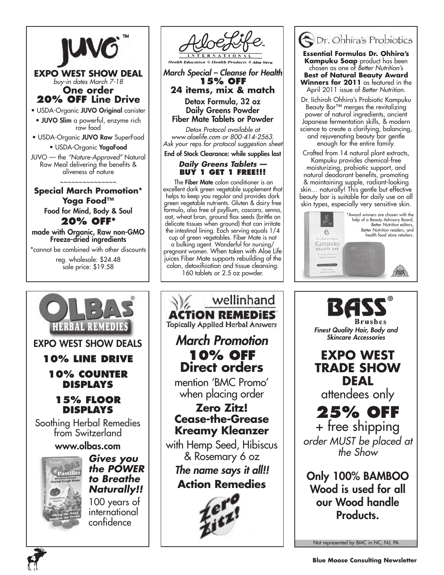

**EXPO WEST SHOW DEAL** *buy-in dates March 7-18* **One order 20% OFF Line Drive**

• USDA-Organic JUVO Original canister • JUVO Slim a powerful, enzyme rich raw food

• USDA-Organic JUVO Raw SuperFood

• USDA-Organic YogaFood

JUVO — the *"Nature-Approved"* Natural Raw Meal delivering the benefits & aliveness of nature

~~~~~~~~~~~~~~~ **Special March Promotion\* Yoga Food™**  Food for Mind, Body & Soul

**20% off\*** made with Organic, Raw non-GMO Freeze-dried ingredients

\*cannot be combined with other discounts reg. wholesale: \$24.48

sale price: \$19.58

Expo West Show Deals

**HERBAL REMEDIE** 

**10% Line Drive**

**10% Counter Displays** 

**15% Floor Displays** Soothing Herbal Remedies from Switzerland



*March Special – Cleanse for Health* **15% off 24 items, mix & match**

Detox Formula, 32 oz Daily Greens Powder Fiber Mate Tablets or Powder

*Detox Protocol available at www.aloelife.com or 800-414-2563. Ask your reps for protocol suggestion sheet* End of Stock Clearance: while supplies last

### *Daily Greens Tablets ––*  **Buy 1 Get 1 Free!!!**

 The Fiber Mate colon conditioner is an excellent dark green vegetable supplement that helps to keep you regular and provides dark green vegetable nutrients. Gluten & dairy free formula, also free of psyllium, cascara, senna, oat, wheat bran, ground flax seeds (brittle on delicate tissues when ground) that can irritate the intestinal lining. Each serving equals 1/4 cup of green vegetables. Fiber Mate is not

a bulking agent. Wonderful for nursing/ pregnant women. When taken with Aloe Life juices Fiber Mate supports rebuilding of the colon, detoxification and tissue cleansing. 160 tablets or 2.5 oz powder.

wellinhand **ACTION REMEDIES Topically Applied Herbal Answers** *March Promotion* **10% off Direct orders** mention 'BMC Promo' when placing order **Zero Zitz! Cease-the-Grease Kreamy Kleanzer** with Hemp Seed, Hibiscus & Rosemary 6 oz *The name says it all!!* **Action Remedies**



**Essential Formulas Dr. Ohhira's Kampuku Soap** product has been chosen as one of *Better Nutrition's* **Best of Natural Beauty Award Winners for 2011** as featured in the April 2011 issue of *Better Nutrition*.

Dr. Iichiroh Ohhira's Probiotic Kampuku Beauty Bar™ merges the revitalizing power of natural ingredients, ancient Japanese fermentation skills, & modern science to create a clarifying, balancing, and rejuvenating beauty bar gentle enough for the entire family.

Crafted from 14 natural plant extracts, Kampuku provides chemical-free moisturizing, probiotic support, and natural deodorant benefits, promoting & maintaining supple, radiant-looking skin… naturally! This gentle but effective beauty bar is suitable for daily use on all skin types, especially very sensitive skin.





Not represented by BMC in NC, NJ, PA



www.olbas.com *Gives you the POWER to Breathe Naturally!!* 100 years of international

confidence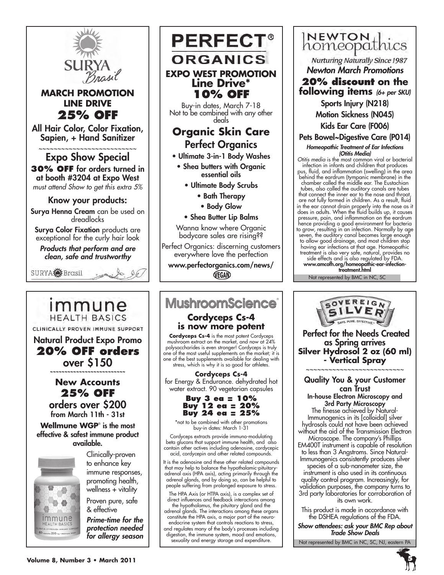

**MARCH PROMOTION LINE DRIVE 25% OFF**

All Hair Color, Color Fixation, Sapien, + Hand Sanitizer

~~~~~~~~~~~~~~~~~~~~~~~~ Expo Show Special **30% OFF** for orders turned in at booth #3204 at Expo West

*must attend Show to get this extra 5%*

### Know your products:

Surya Henna Cream can be used on dreadlocks

Surya Color Fixation products are exceptional for the curly hair look

*Products that perform and are clean, safe and trustworthy*



Natural Product Expo Promo **20% off orders** over \$150 **~~~~~~~~~~~~~~~~~~~~~~~~~~ New Accounts 25% off** orders over \$200 from March 11th - 31st **Wellmune WGP**® is the most effective & safest immune product available.

CLINICALLY PROVEN IMMUNE SUPPORT

immune **HEALTH BASICS** 

**PERFECT® ORGANICS EXPO WEST PROMOTION Line Drive\* 10% off**

Buy-in dates, March 7-18 Not to be combined with any other deals

## **Organic Skin Care** Perfect Organics

- Ultimate 3-in-1 Body Washes
	- Shea butters with Organic essential oils
		- Ultimate Body Scrubs
			- Bath Therapy
			- Body Glow
		- Shea Butter Lip Balms

Wanna know where Organic bodycare sales are rising??

Perfect Organics: discerning customers everywhere love the perfection

www.perfectorganics.com/news/ VEGAN

# **MushroomScience**®

### **Cordyceps Cs-4 is now more potent**

**Cordyceps Cs-4** is the most potent Cordyceps mushroom extract on the market, and now at 24% polysaccharides is even stronger! Cordyceps is truly one of the most useful supplements on the market; it is one of the best supplements available for dealing with stress, which is why it is so good for athletes.

for Energy & Endurance. dehydrated hot water extract. 90 vegetarian capsules

\*not to be combined with other promotions buy-in dates: March 1-31

Cordyceps extracts provide immuno-modulating beta glucans that support immune health, and also contain other actives including adenosine, cordycepic acid, cordycepin and other related compounds.

that may help to balance the hypothalamic-pituitarypeople suffering from prolonged exposure to stress.

The HPA Axis (or HTPA axis), is a complex set of direct influences and feedback interactions among

the hypothalamus, the pituitary gland and the adrenal glands. The interactions among these organs constitute the HPA axis, a major part of the neuroendocrine system that controls reactions to stress, and regulates many of the body's processes including digestion, the immune system, mood and emotions, sexuality and energy storage and expenditure.

**NEWTON**<sub>thics</sub> **Nurturing Naturally Since 1987** *Newton March Promotions* **20% discount on the following items** *(6+ per SKU)* Sports Injury (N218) Motion Sickness (N045)

Kids Ear Care (F006)

Pets Bowel~Digestive Care (P014)

*Homeopathic Treatment of Ear Infections (Otitis Media)*

*Otitis media* is the most common viral or bacterial infection in infants and children that produces pus, fluid, and inflammation (swelling) in the area behind the eardrum (tympanic membrane) in the chamber called the middle ear. The Eustachian tubes, also called the auditory canals are tubes that connect the inner ear to the nose and throat, are not fully formed in children. As a result, fluid in the ear cannot drain properly into the nose as it does in adults. When the fluid builds up, it causes pressure, pain, and inflammation on the eardrum hence providing a good environment for bacteria to grow, resulting in an infection. Normally by age seven, the auditory canal becomes large enough to allow good drainage, and most children stop having ear infections at that age. Homeopathic treatment is also very safe, natural, provides no

side effects and is also regulated by FDA. www.amcofh.org/homeopathic-ear-infection-

Not represented by BMC in NC, SC treatment.html



can Trust In-house Electron Microscopy and 3rd Party Microscopy The finesse achieved by Natural-Immunogenics in its [colloidal] silver hydrosols could not have been achieved without the aid of the Transmission Electron Microscope. The company's Phillips EM400T instrument is capable of resolution to less than 3 Angstroms. Since Natural-Immunogenics consistently produces silver species of a sub-nanometer size, the instrument is also used in its continuous quality control program. Increasingly, for validation purposes, the company turns to 3rd party laboratories for corroboration of its own work.

This product is made in accordance with the DSHEA regulations of the FDA.

*Show attendees: ask your BMC Rep about Trade Show Deals*

Not represented by BMC in NC, SC, NJ, eastern PA



**Volume 8, Number 3 • March 2011**

**Cordyceps Cs-4**

**Buy 3 ea = 10% Buy 12 ea = 20% Buy 24 ea = 25%**

It is the adenosine and these other related compounds adrenal axis (HPA axis), acting primarily through the adrenal glands, and by doing so, can be helpful to

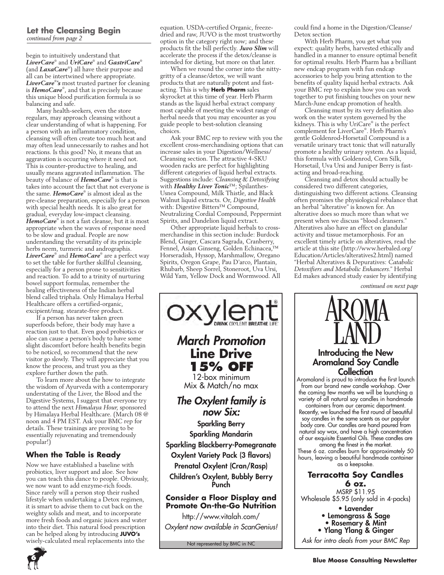### **Let the Cleansing Begin** *continued from page 2*

begin to intuitively understand that *LiverCare*® and *UriCare*® and *GastriCare*® (and *LaxaCare*® ) all have their purpose and all can be intertwined where appropriate. *LiverCare*® *'s* most trusted partner for cleaning is *HemoCare*® , and that is precisely because this unique blood purification formula is so balancing and safe.

Many health-seekers, even the store regulars, may approach cleansing without a clear understanding of what is happening. For a person with an inflammatory condition, cleansing will often create too much heat and may often lead unnecessarily to rashes and hot reactions. Is this good? No, it means that an aggravation is occurring where it need not. This is counter-productive to healing, and usually means aggravated inflammation. The beauty of balance of *HemoCare*® is that is takes into account the fact that not everyone is the same. *HemoCare*® is almost ideal as the pre-cleanse preparation, especially for a person with special health needs. It is also great for gradual, everyday low-impact cleansing. *HemoCare*® is not a fast cleanse, but it is most appropriate when the waves of response need to be slow and gradual. People are now understanding the versatility of its principle herbs neem, turmeric and andrographis. *LiverCare*® and *HemoCare*® are a perfect way to set the table for further skillful cleansing, especially for a person prone to sensitivities and reaction. To add to a trinity of nurturing bowel support formulas, remember the healing effectiveness of the Indian herbal blend called triphala. Only Himalaya Herbal Healthcare offers a certified-organic, excipient/mag. stearate-free product.

If a person has never taken green superfoods before, their body may have a reaction just to that. Even good probiotics or aloe can cause a person's body to have some slight discomfort before health benefits begin to be noticed, so recommend that the new visitor go slowly. They will appreciate that you know the process, and trust you as they explore further down the path.

To learn more about the how to integrate the wisdom of Ayurveda with a contemporary understating of the Liver, the Blood and the Digestive Systems, I suggest that everyone try to attend the next *Himalaya Hour*, sponsored by Himalaya Herbal Healthcare. (March 08 @ noon and 4 PM EST. Ask your BMC rep for details. These trainings are proving to be essentially rejuvenating and tremendously popular!)

### **When the Table is Ready**

Now we have established a baseline with probiotics, liver support and aloe. See how you can teach this dance to people. Obviously, we now want to add enzyme-rich foods. Since rarely will a person stop their rushed lifestyle when undertaking a Detox regimen, it is smart to advise them to cut back on the weighty solids and meat, and to incorporate more fresh foods and organic juices and water into their diet. This natural food prescription can be helped along by introducing **JUVO's**  wisely-calculated meal replacements into the

equation. USDA-certified Organic, freezedried and raw, JUVO is the most trustworthy option in the category right now; and these products fit the bill perfectly. *Juvo Slim* will accelerate the process if the detox/cleanse is intended for dieting, but more on that later.

When we round the corner into the nittygritty of a cleanse/detox, we will want products that are naturally potent and fastacting. This is why **Herb Pharm** sales skyrocket at this time of year. Herb Pharm stands as the liquid herbal extract company most capable of meeting the widest range of herbal needs that you may encounter as you guide people to best-solution cleansing choices.

Ask your BMC rep to review with you the excellent cross-merchandising options that can increase sales in your Digestion/Wellness/ Cleansing section. The attractive 4-SKU wooden racks are perfect for highlighting different categories of liquid herbal extracts. Suggestions include: *Cleansing & Detoxifying* with *Healthy Liver Tonic*™; Spilanthes-Usnea Compound, Milk Thistle, and Black Walnut liquid extracts. Or, *Digestive Health* with: Digestive Bitters™ Compound, Neutralizing Cordial Compound, Peppermint Spirits, and Dandelion liquid extract.

Other appropriate liquid herbals to crossmerchandise in this section include: Burdock Blend, Ginger, Cascara Sagrada, Cranberry, Fennel, Asian Ginseng, Golden Echinacea,™ Horseradish, Hyssop, Marshmallow, Oregano Spirits, Oregon Grape, Pau D'arco, Plantain, Rhubarb, Sheep Sorrel, Stoneroot, Uva Ursi, Wild Yam, Yellow Dock and Wormwood. All



could find a home in the Digestion/Cleanse/ Detox section

With Herb Pharm, you get what you expect: quality herbs, harvested ethically and handled in a manner to ensure optimal benefit for optimal results. Herb Pharm has a brilliant new endcap program with fun endcap accessories to help you bring attention to the benefits of quality liquid herbal extracts. Ask your BMC rep to explain how you can work together to put finishing touches on your new March-June endcap promotion of health.

Cleansing must by its very definition also work on the water system governed by the kidneys. This is why UriCare® is the perfect complement for LiverCare® . Herb Pharm's gentle Goldenrod-Horsetail Compound is a versatile urinary tract tonic that will naturally promote a healthy urinary system. As a liquid, this formula with Goldenrod, Corn Silk, Horsetail, Uva Ursi and Juniper Berry is fastacting and broad-reaching.

Cleansing and detox should actually be considered two different categories, distinguishing two different actions. Cleansing often promises the physiological rebalance that an herbal "alterative" is known for. An alterative does so much more than what we present when we discuss "blood cleansers." Alteratives also have an effect on glandular activity and tissue metamorphosis. For an excellent timely article on alteratives, read the article at this site (http://www.herbaled.org/ Education/Articles/alteratives2.html) named "Herbal Alteratives & Depuratives: *Catabolic Detoxifiers and Metabolic Enhancers*." Herbal Ed makes advanced study easier by identifying

*continued on next page*



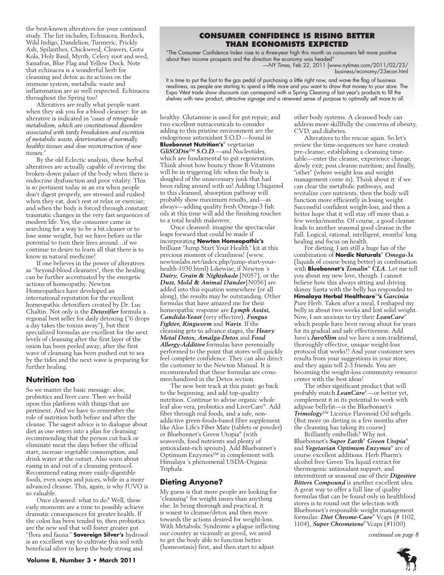the best-known alteratives for your continued study. The list includes, Echinacea, Burdock, Wild Indigo, Dandelion, Turmeric, Prickly Ash, Spilanthes, Chickweed, Cleavers, Gotu Kola, Holy Basil, Myrrh, Celery root and seed, Sassafras, Blue Flag and Yellow Dock. Note that echinacea is a wonderful herb for cleansing and detox as its actions on the immune system, metabolic waste and inflammation are so well respected. Echinacea throughout the Spring too!

Alteratives are really what people want when they ask you for a blood cleanser: for an alterative is indicated in "*cases of retrograde metabolism, which are constitutional disorders associated with tardy breakdown and excretion of metabolic waste, deterioration of normally healthy tissues and slow reconstruction of new tissues.*"

By the old Eclectic analysis, these herbal alteratives are actually capable of reviving the broken-down palace of the body when there is endocrine dysfunction and poor vitality. This is so pertinent today in an era when people don't digest properly, are stressed and rushed when they eat, don't rest or relax or exercise; and when the body is forced through constant traumatic changes in the very fast sequences of modern life. Yes, the consumer came in searching for a way to be a bit cleaner or to lose some weight, but we have before us the potential to turn their lives around…if we continue to desire to learn all that there is to know in natural medicine!

If one believes in the power of alteratives as "beyond-blood cleansers", then the healing can be further accentuated by the energetic actions of homeopathy. Newton Homeopathics have developed an international reputation for the excellent homeopathic detoxifiers created by Dr. Luc Chaltin. Not only is the *Detoxifier* formula a regional best seller for daily detoxing ("6 drops a day takes the toxins away"), but their specialized formulas are excellent for the next levels of cleansing after the first layer of the onion has been peeled away; after the first wave of cleansing has been pushed out to sea by the tides and the next wave is preparing for further healing.

### **Nutrition too**

So we master the basic message: aloe, probiotics and liver care. Then we build upon this platform with things that are pertinent. And we have to remember the role of nutrition both before and after the cleanse. The sagest advice is to dialogue about diet as one enters into a plan for cleansing: recommending that the person cut back or eliminate meat the days before the official start, increase vegetable consumption, and drink water at the outset. Also warn about easing in and out of a cleansing protocol. Recommend eating more easily-digestible foods, even soups and juices, while in a more advanced cleanse. This, again, is why JUVO is so valuable.

Once cleansed: what to do? Well, these early moments are a time to possibly achieve dramatic consequences for greater health. If the colon has been tended to, then probiotics are the new soil that will foster greater gut "flora and fauna." **Sovereign Silver's** hydrosol is an excellent way to cultivate this soil with beneficial silver to keep the body strong and

### **consumer confidence is rising better than economists expected**

"The Consumer Confidence Index rose to a three-year high this month as consumers felt more positive about their income prospects and the direction the economy was headed" —*NY Times*, Feb 22, 2011 [www.nytimes.com/2011/02/23/

business/economy/23econ.html

It is time to put the foot to the gas pedal of purchasing a little right now, and wave the flag of business readiness, as people are starting to spend a little more and you want to draw that money to your store. The Expo West trade show discounts can correspond with a Spring Cleaning of last year's products to fill the shelves with new product, attractive signage and a renewed sense of purpose to optimally sell more to all.

healthy. Glutamine is used for gut repair; and two excellent nutraceuticals to consider adding to this pristine environment are the endogenous antioxidant S.O.D.—found in **Bluebonnet Nutrition's**® vegetarian *GliSODin™ S.O.D*.—and Nucleotides, which are fundamental to gut regeneration. Think about how bouncy those B-Vitamins will be in triggering life when the body is sloughed of the unnecessary junk that had been riding around with us! Adding Ubiquinol to this cleansed, absorption pathway will probably show maximum results, and—as always—adding quality fresh Omega-3 fish oils at this time will add the finishing touches to a total health makeover.

Once cleansed: imagine the spectacular leaps forward that could be made if incorporating **Newton Homeopathic's**  brilliant "Jump Start Your Health" kit at this precious moment of cleanliness! (www. newtonlabs.net/index.php/jump-start-yourhealth-1930.html) Likewise, if Newton 's *Dairy, Grain & Nightshade* [N057], or the *Dust, Mold & Animal Dander*[N056] are added into this equation somewhere (or all along), the results may be outstanding. Other formulas that have amazed me for their homeopathic response are *Lymph Assist, Candida-Yeast* (very effective), *Fungus Fighter, Ringworm* and *Warts*. If the cleansing gets to advance stages, the *Heavy Metal Detox, Amalga-Detox* and *Food Allergy-Additive* formulas have perennially performed to the point that stores will quickly feel complete confidence. They can also direct the customer to the Newton Manual. It is recommended that these formulas are crossmerchandized in the Detox section.

The new best track at this point: go back to the beginning, and add top-quality nutrition. Continue to advise organic whole leaf aloe vera, probiotics and LiverCare® . Add fiber through real foods, and a safe, nonaddictive green-foods-based fiber supplement like Aloe Life's Fiber Mate (tablets or powder) or Bluebonnet's Green Utopia® (with seaweeds, food nutrients and plenty of antioxidant-rich sprouts). Add Bluebonnet's Optimum Enzymes™ in complement with Himalaya 's phenomenal USDA-Organic Triphala.

### **Dieting Anyone?**

My guess is that more people are looking for "cleansing" for weight issues than anything else. In being thorough and practical, it is wisest to cleanse/detox and then move towards the actions desired for weight-loss. With Metabolic Syndrome a plague inflicting our country as viciously as greed, we need to get the body able to function better (homeostasis) first, and then start to adjust

other body systems. A cleansed body can address more skillfully the concerns of obesity, CVD, and diabetes.

Alteratives to the rescue again. So let's review the time-sequences we have created: pre-cleanse; establishing a cleansing timetable—enter the cleanse, experience change, slowly exit; post cleanse nutrition; and finally, "other" (where weight loss and weight management come in). Think about it: if we can clear the metabolic pathways, and revitalize core nutrients, then the body will function more efficiently in losing weight. Successful confident weight-loss, and then a better hope that it will stay off more than a few weeks/months. Of course, a good cleanse leads to another seasonal good cleanse in the Fall. Logical, rational, intelligent, months' long healing and focus on health.

For dieting, I am still a huge fan of the combination of **Nordic Naturals**® *Omega-3s*  (liquids of course being better) in combination with **Bluebonnet's** *Tonalin*®  *CLA*. Let me tell you about my new love, though. I cannot believe how this always sitting and driving skinny Santa with the belly has responded to **Himalaya Herbal Healthcare**® **'s** *Garcinia* Pure Herb. Taken after a meal, I reshaped my belly in about two weeks and lost solid weight. Now, I am anxious to try their *LeanCare*® which people have been raving about for years for its gradual and safe effectiveness. Add Juvo's *JuvoSlim* and we have a non-traditional, thoroughly effective, unique weight-loss protocol that works!! And your customer sees results from your suggestions in your store, and they again tell 2-3 friends. You are becoming the weight-loss community resource center with the best ideas!

The other significant product that will probably match *LeanCare*® —or better yet, complement it in its potential to work with adipose bellyfat—is the Bluebonnet's *Trimology*™ Licorice Flavonoid Oil softgels. (But more on dieting in a few months after the cleansing has taking its course)

Brilliantly embellish? Why not. Bluebonnet's *Super Earth*® *Green Utopia*® and *Vegetarian Optimum Enzymes*® are of course excellent additions. Herb Pharm's alcohol free Green Tea liquid extract for thermogenic antioxidant support, and intermittent or seasonal use of their *Digestive Bitters Compound* is another excellent idea. A great way to offer a full line of quality formulas that can be found only in healthfood stores is to round out the selection with Bluebonnet's responsible weight management formulas: *Diet Chrome-Care*® Vcaps (# 1102, 1104), *Super Chrometene*® Vcaps (#1100)

*continued on page 8*